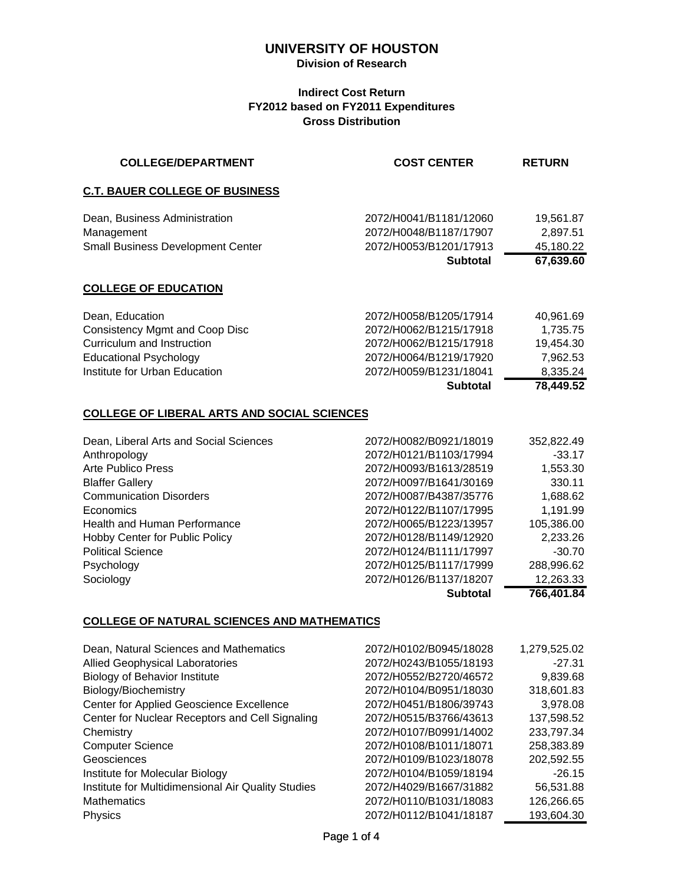## **Division of Research**

## **Indirect Cost Return FY2012 based on FY2011 Expenditures Gross Distribution**

| <b>COLLEGE/DEPARTMENT</b>                                                               | <b>COST CENTER</b>                                                                            | <b>RETURN</b>                                   |
|-----------------------------------------------------------------------------------------|-----------------------------------------------------------------------------------------------|-------------------------------------------------|
| <b>C.T. BAUER COLLEGE OF BUSINESS</b>                                                   |                                                                                               |                                                 |
| Dean, Business Administration<br>Management<br><b>Small Business Development Center</b> | 2072/H0041/B1181/12060<br>2072/H0048/B1187/17907<br>2072/H0053/B1201/17913<br><b>Subtotal</b> | 19,561.87<br>2,897.51<br>45,180.22<br>67,639.60 |
| <b>COLLEGE OF EDUCATION</b>                                                             |                                                                                               |                                                 |
|                                                                                         |                                                                                               |                                                 |
| Dean, Education                                                                         | 2072/H0058/B1205/17914                                                                        | 40,961.69                                       |
| <b>Consistency Mgmt and Coop Disc</b>                                                   | 2072/H0062/B1215/17918                                                                        | 1,735.75                                        |
| Curriculum and Instruction                                                              | 2072/H0062/B1215/17918                                                                        | 19,454.30                                       |
| <b>Educational Psychology</b>                                                           | 2072/H0064/B1219/17920                                                                        | 7,962.53                                        |
| Institute for Urban Education                                                           | 2072/H0059/B1231/18041                                                                        | 8,335.24                                        |
|                                                                                         | <b>Subtotal</b>                                                                               | 78,449.52                                       |
| <b>COLLEGE OF LIBERAL ARTS AND SOCIAL SCIENCES</b>                                      |                                                                                               |                                                 |
| Dean, Liberal Arts and Social Sciences                                                  | 2072/H0082/B0921/18019                                                                        | 352,822.49                                      |
| Anthropology                                                                            | 2072/H0121/B1103/17994                                                                        | $-33.17$                                        |
| <b>Arte Publico Press</b>                                                               | 2072/H0093/B1613/28519                                                                        | 1,553.30                                        |
| <b>Blaffer Gallery</b>                                                                  | 2072/H0097/B1641/30169                                                                        | 330.11                                          |
|                                                                                         |                                                                                               |                                                 |

|                                     | <b>Subtotal</b>        | 766,401.84 |
|-------------------------------------|------------------------|------------|
| Sociology                           | 2072/H0126/B1137/18207 | 12,263.33  |
| Psychology                          | 2072/H0125/B1117/17999 | 288,996.62 |
| <b>Political Science</b>            | 2072/H0124/B1111/17997 | $-30.70$   |
| Hobby Center for Public Policy      | 2072/H0128/B1149/12920 | 2,233.26   |
| <b>Health and Human Performance</b> | 2072/H0065/B1223/13957 | 105,386.00 |
| Economics                           | 2072/H0122/B1107/17995 | 1,191.99   |
| <b>Communication Disorders</b>      | 2072/H0087/B4387/35776 | 1,688.62   |
| <b>Blaffer Gallery</b>              | 2072/H0097/B1641/30169 | 330.11     |
| Arte Publico Press                  | 2072/H0093/B1613/28519 | 1,553.30   |

## **COLLEGE OF NATURAL SCIENCES AND MATHEMATICS**

| Dean, Natural Sciences and Mathematics             | 2072/H0102/B0945/18028 | 1,279,525.02 |
|----------------------------------------------------|------------------------|--------------|
| <b>Allied Geophysical Laboratories</b>             | 2072/H0243/B1055/18193 | $-27.31$     |
| <b>Biology of Behavior Institute</b>               | 2072/H0552/B2720/46572 | 9,839.68     |
| Biology/Biochemistry                               | 2072/H0104/B0951/18030 | 318,601.83   |
| Center for Applied Geoscience Excellence           | 2072/H0451/B1806/39743 | 3,978.08     |
| Center for Nuclear Receptors and Cell Signaling    | 2072/H0515/B3766/43613 | 137,598.52   |
| Chemistry                                          | 2072/H0107/B0991/14002 | 233,797.34   |
| <b>Computer Science</b>                            | 2072/H0108/B1011/18071 | 258,383.89   |
| Geosciences                                        | 2072/H0109/B1023/18078 | 202,592.55   |
| Institute for Molecular Biology                    | 2072/H0104/B1059/18194 | $-26.15$     |
| Institute for Multidimensional Air Quality Studies | 2072/H4029/B1667/31882 | 56,531.88    |
| <b>Mathematics</b>                                 | 2072/H0110/B1031/18083 | 126,266.65   |
| <b>Physics</b>                                     | 2072/H0112/B1041/18187 | 193,604.30   |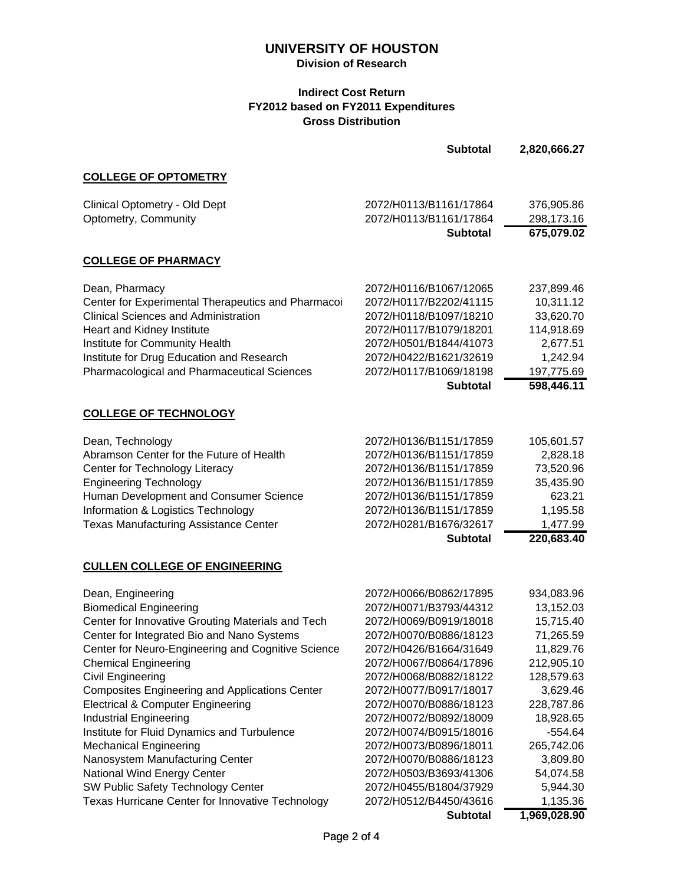## **Division of Research**

### **Indirect Cost Return FY2012 based on FY2011 Expenditures Gross Distribution**

|                                                                                                       | <b>Subtotal</b>                                  | 2,820,666.27           |
|-------------------------------------------------------------------------------------------------------|--------------------------------------------------|------------------------|
| <b>COLLEGE OF OPTOMETRY</b>                                                                           |                                                  |                        |
| Clinical Optometry - Old Dept                                                                         | 2072/H0113/B1161/17864                           | 376,905.86             |
| Optometry, Community                                                                                  | 2072/H0113/B1161/17864                           | 298,173.16             |
|                                                                                                       | <b>Subtotal</b>                                  | 675,079.02             |
| <b>COLLEGE OF PHARMACY</b>                                                                            |                                                  |                        |
| Dean, Pharmacy                                                                                        | 2072/H0116/B1067/12065                           | 237,899.46             |
| Center for Experimental Therapeutics and Pharmacoi                                                    | 2072/H0117/B2202/41115                           | 10,311.12              |
| <b>Clinical Sciences and Administration</b>                                                           | 2072/H0118/B1097/18210                           | 33,620.70              |
| Heart and Kidney Institute                                                                            | 2072/H0117/B1079/18201                           | 114,918.69             |
| Institute for Community Health                                                                        | 2072/H0501/B1844/41073                           | 2,677.51               |
| Institute for Drug Education and Research                                                             | 2072/H0422/B1621/32619                           | 1,242.94               |
| Pharmacological and Pharmaceutical Sciences                                                           | 2072/H0117/B1069/18198                           | 197,775.69             |
|                                                                                                       | <b>Subtotal</b>                                  | 598,446.11             |
| <b>COLLEGE OF TECHNOLOGY</b>                                                                          |                                                  |                        |
| Dean, Technology                                                                                      | 2072/H0136/B1151/17859                           | 105,601.57             |
| Abramson Center for the Future of Health                                                              | 2072/H0136/B1151/17859                           | 2,828.18               |
| Center for Technology Literacy                                                                        | 2072/H0136/B1151/17859                           | 73,520.96              |
| <b>Engineering Technology</b>                                                                         | 2072/H0136/B1151/17859                           | 35,435.90              |
| Human Development and Consumer Science                                                                | 2072/H0136/B1151/17859                           | 623.21                 |
| Information & Logistics Technology                                                                    | 2072/H0136/B1151/17859                           | 1,195.58               |
| <b>Texas Manufacturing Assistance Center</b>                                                          | 2072/H0281/B1676/32617                           | 1,477.99<br>220,683.40 |
|                                                                                                       | <b>Subtotal</b>                                  |                        |
| <b>CULLEN COLLEGE OF ENGINEERING</b>                                                                  |                                                  |                        |
| Dean, Engineering                                                                                     | 2072/H0066/B0862/17895                           | 934,083.96             |
| <b>Biomedical Engineering</b>                                                                         | 2072/H0071/B3793/44312                           | 13,152.03              |
| Center for Innovative Grouting Materials and Tech                                                     | 2072/H0069/B0919/18018                           | 15,715.40              |
| Center for Integrated Bio and Nano Systems                                                            | 2072/H0070/B0886/18123                           | 71,265.59              |
| Center for Neuro-Engineering and Cognitive Science                                                    | 2072/H0426/B1664/31649                           | 11,829.76              |
| <b>Chemical Engineering</b>                                                                           | 2072/H0067/B0864/17896                           | 212,905.10             |
| Civil Engineering                                                                                     | 2072/H0068/B0882/18122<br>2072/H0077/B0917/18017 | 128,579.63             |
| <b>Composites Engineering and Applications Center</b><br><b>Electrical &amp; Computer Engineering</b> | 2072/H0070/B0886/18123                           | 3,629.46<br>228,787.86 |
| <b>Industrial Engineering</b>                                                                         | 2072/H0072/B0892/18009                           | 18,928.65              |
| Institute for Fluid Dynamics and Turbulence                                                           | 2072/H0074/B0915/18016                           | $-554.64$              |
| <b>Mechanical Engineering</b>                                                                         | 2072/H0073/B0896/18011                           | 265,742.06             |
| Nanosystem Manufacturing Center                                                                       | 2072/H0070/B0886/18123                           | 3,809.80               |
| National Wind Energy Center                                                                           | 2072/H0503/B3693/41306                           | 54,074.58              |
| SW Public Safety Technology Center                                                                    | 2072/H0455/B1804/37929                           | 5,944.30               |
| Texas Hurricane Center for Innovative Technology                                                      | 2072/H0512/B4450/43616                           | 1,135.36               |
|                                                                                                       | <b>Subtotal</b>                                  | 1,969,028.90           |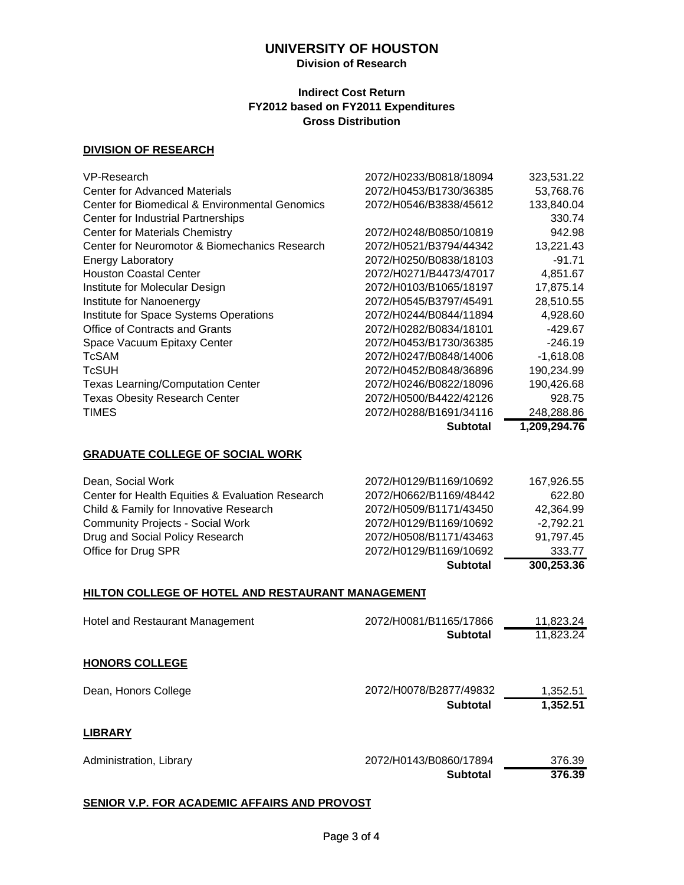## **Division of Research**

#### **Indirect Cost Return FY2012 based on FY2011 Expenditures Gross Distribution**

#### **DIVISION OF RESEARCH**

| VP-Research                                    | 2072/H0233/B0818/18094 | 323,531.22   |
|------------------------------------------------|------------------------|--------------|
| <b>Center for Advanced Materials</b>           | 2072/H0453/B1730/36385 | 53,768.76    |
| Center for Biomedical & Environmental Genomics | 2072/H0546/B3838/45612 | 133,840.04   |
| Center for Industrial Partnerships             |                        | 330.74       |
| <b>Center for Materials Chemistry</b>          | 2072/H0248/B0850/10819 | 942.98       |
| Center for Neuromotor & Biomechanics Research  | 2072/H0521/B3794/44342 | 13,221.43    |
| <b>Energy Laboratory</b>                       | 2072/H0250/B0838/18103 | $-91.71$     |
| <b>Houston Coastal Center</b>                  | 2072/H0271/B4473/47017 | 4,851.67     |
| Institute for Molecular Design                 | 2072/H0103/B1065/18197 | 17,875.14    |
| Institute for Nanoenergy                       | 2072/H0545/B3797/45491 | 28,510.55    |
| Institute for Space Systems Operations         | 2072/H0244/B0844/11894 | 4,928.60     |
| Office of Contracts and Grants                 | 2072/H0282/B0834/18101 | -429.67      |
| Space Vacuum Epitaxy Center                    | 2072/H0453/B1730/36385 | $-246.19$    |
| TcSAM                                          | 2072/H0247/B0848/14006 | $-1,618.08$  |
| <b>TcSUH</b>                                   | 2072/H0452/B0848/36896 | 190,234.99   |
| <b>Texas Learning/Computation Center</b>       | 2072/H0246/B0822/18096 | 190,426.68   |
| <b>Texas Obesity Research Center</b>           | 2072/H0500/B4422/42126 | 928.75       |
| TIMES                                          | 2072/H0288/B1691/34116 | 248,288.86   |
|                                                | <b>Subtotal</b>        | 1,209,294.76 |

#### **GRADUATE COLLEGE OF SOCIAL WORK**

|                                                  | <b>Subtotal</b>        | 300,253.36  |
|--------------------------------------------------|------------------------|-------------|
| Office for Drug SPR                              | 2072/H0129/B1169/10692 | 333.77      |
| Drug and Social Policy Research                  | 2072/H0508/B1171/43463 | 91,797.45   |
| <b>Community Projects - Social Work</b>          | 2072/H0129/B1169/10692 | $-2.792.21$ |
| Child & Family for Innovative Research           | 2072/H0509/B1171/43450 | 42.364.99   |
| Center for Health Equities & Evaluation Research | 2072/H0662/B1169/48442 | 622.80      |
| Dean, Social Work                                | 2072/H0129/B1169/10692 | 167,926.55  |

#### **HILTON COLLEGE OF HOTEL AND RESTAURANT MANAGEMENT**

| Hotel and Restaurant Management | 2072/H0081/B1165/17866 | 11,823.24 |
|---------------------------------|------------------------|-----------|
|                                 | <b>Subtotal</b>        | 11,823.24 |
| <b>HONORS COLLEGE</b>           |                        |           |
| Dean, Honors College            | 2072/H0078/B2877/49832 | 1,352.51  |
|                                 | <b>Subtotal</b>        | 1,352.51  |
| <b>LIBRARY</b>                  |                        |           |
| Administration, Library         | 2072/H0143/B0860/17894 | 376.39    |
|                                 | <b>Subtotal</b>        | 376.39    |
|                                 |                        |           |

#### **SENIOR V.P. FOR ACADEMIC AFFAIRS AND PROVOST**